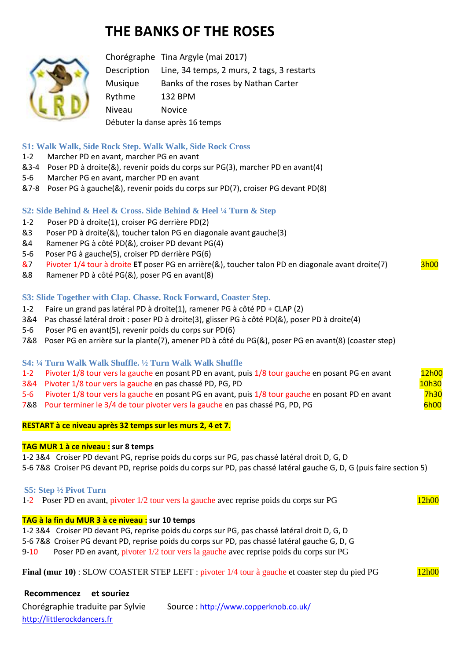# **THE BANKS OF THE ROSES**



Chorégraphe Tina Argyle (mai 2017) Description Line, 34 temps, 2 murs, 2 tags, 3 restarts Musique Banks of the roses by Nathan Carter Rythme 132 BPM Niveau Novice Débuter la danse après 16 temps

## **S1: Walk Walk, Side Rock Step. Walk Walk, Side Rock Cross**

- 1-2 Marcher PD en avant, marcher PG en avant
- &3-4 Poser PD à droite(&), revenir poids du corps sur PG(3), marcher PD en avant(4)
- 5-6 Marcher PG en avant, marcher PD en avant
- &7-8 Poser PG à gauche(&), revenir poids du corps sur PD(7), croiser PG devant PD(8)

## **S2: Side Behind & Heel & Cross. Side Behind & Heel ¼ Turn & Step**

- 1-2 Poser PD à droite(1), croiser PG derrière PD(2)
- &3 Poser PD à droite(&), toucher talon PG en diagonale avant gauche(3)
- &4 Ramener PG à côté PD(&), croiser PD devant PG(4)
- 5-6 Poser PG à gauche(5), croiser PD derrière PG(6)
- &7 Pivoter 1/4 tour à droite **ET** poser PG en arrière(&), toucher talon PD en diagonale avant droite(7) 3h00
- &8 Ramener PD à côté PG(&), poser PG en avant(8)

#### **S3: Slide Together with Clap. Chasse. Rock Forward, Coaster Step.**

- 1-2 Faire un grand pas latéral PD à droite(1), ramener PG à côté PD + CLAP (2)
- 3&4 Pas chassé latéral droit : poser PD à droite(3), glisser PG à côté PD(&), poser PD à droite(4)
- 5-6 Poser PG en avant(5), revenir poids du corps sur PD(6)
- 7&8 Poser PG en arrière sur la plante(7), amener PD à côté du PG(&), poser PG en avant(8) (coaster step)

## **S4: ¼ Turn Walk Walk Shuffle. ½ Turn Walk Walk Shuffle**

- 1-2 Pivoter 1/8 tour vers la gauche en posant PD en avant, puis 1/8 tour gauche en posant PG en avant 12h00
- 3&4 Pivoter 1/8 tour vers la gauche en pas chassé PD, PG, PD 10h30 10h30
- 5-6 Pivoter 1/8 tour vers la gauche en posant PG en avant, puis 1/8 tour gauche en posant PD en avant 7h30
- 7&8 Pour terminer le 3/4 de tour pivoter vers la gauche en pas chassé PG, PD, PG 6h00

#### **RESTART à ce niveau après 32 temps sur les murs 2, 4 et 7.**

#### **TAG MUR 1 à ce niveau : sur 8 temps**

1-2 3&4 Croiser PD devant PG, reprise poids du corps sur PG, pas chassé latéral droit D, G, D

5-6 7&8 Croiser PG devant PD, reprise poids du corps sur PD, pas chassé latéral gauche G, D, G (puis faire section 5)

#### **S5: Step ½ Pivot Turn**

1-2 Poser PD en avant, pivoter 1/2 tour vers la gauche avec reprise poids du corps sur PG 12h00

## **TAG à la fin du MUR 3 à ce niveau : sur 10 temps**

1-2 3&4 Croiser PD devant PG, reprise poids du corps sur PG, pas chassé latéral droit D, G, D

5-6 7&8 Croiser PG devant PD, reprise poids du corps sur PD, pas chassé latéral gauche G, D, G

9-10 Poser PD en avant, pivoter 1/2 tour vers la gauche avec reprise poids du corps sur PG

|  | Final (mur 10) : SLOW COASTER STEP LEFT : pivoter 1/4 tour à gauche et coaster step du pied PG | 12h00 |
|--|------------------------------------------------------------------------------------------------|-------|
|--|------------------------------------------------------------------------------------------------|-------|

**Recommencez et souriez** Chorégraphie traduite par Sylvie Source : http://www.copperknob.co.uk/ [http://littlerockdancers.fr](http://littlerockdancers.fr/)